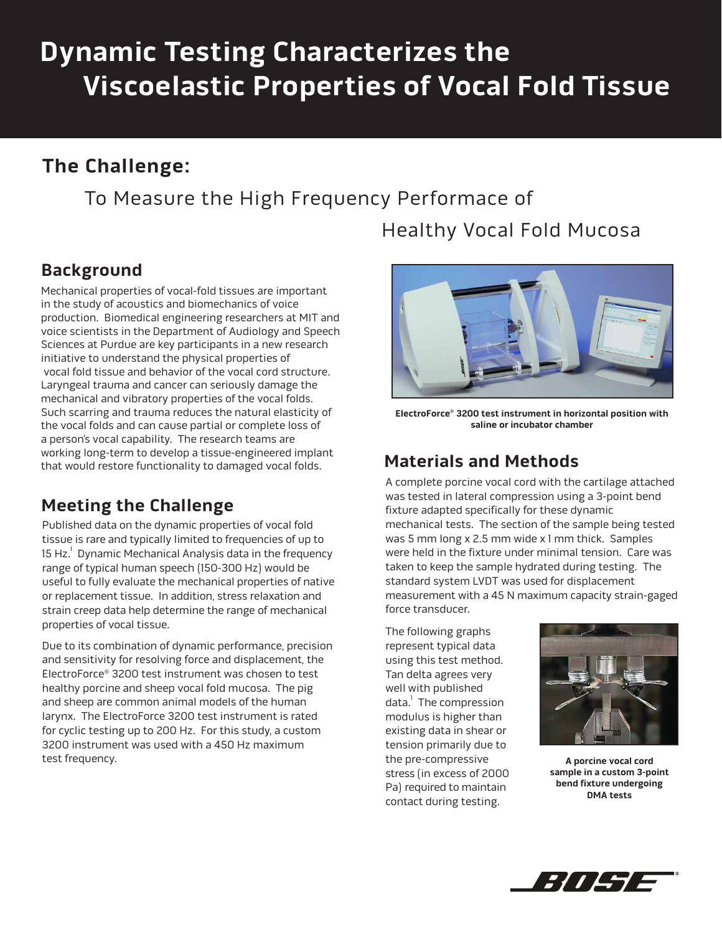# **Dynamic Testing Characterizes the Viscoelastic Properties of Vocal Fold Tissue**

### **The Challenge:**

To Measure the High Frequency Performace of

## Healthy Vocal Fold Mucosa

#### **Background**

Mechanical properties of vocal-fold tissues are important in the study of acoustics and biomechanics of voice production. Biomedical engineering researchers at MIT and voice scientists in the Department of Audiology and Speech Sciences at Purdue are key participants in a new research initiative to understand the physical properties of vocal fold tissue and behavior of the vocal cord structure. Laryngeal trauma and cancer can seriously damage the mechanical and vibratory properties of the vocal folds. Such scarring and trauma reduces the natural elasticity of the vocal folds and can cause partial or complete loss of a person's vocal capability. The research teams are working long-term to develop a tissue-engineered implant that would restore functionality to damaged vocal folds.

#### **Meeting the Challenge**

Published data on the dynamic properties of vocal fold tissue is rare and typically limited to frequencies of up to 15 Hz. $^{\rm 1}$  Dynamic Mechanical Analysis data in the frequency range of typical human speech (150-300 Hz) would be useful to fully evaluate the mechanical properties of native or replacement tissue. In addition, stress relaxation and strain creep data help determine the range of mechanical properties of vocal tissue.

Due to its combination of dynamic performance, precision and sensitivity for resolving force and displacement, the ElectroForce® 3200 test instrument was chosen to test healthy porcine and sheep vocal fold mucosa. The pig and sheep are common animal models of the human larynx. The ElectroForce 3200 test instrument is rated for cyclic testing up to 200 Hz. For this study, a custom 3200 instrument was used with a 450 Hz maximum test frequency.



**ElectroForce® 3200 test instrument in horizontal position with saline or incubator chamber**

#### **Materials and Methods**

A complete porcine vocal cord with the cartilage attached was tested in lateral compression using a 3-point bend fixture adapted specifically for these dynamic mechanical tests. The section of the sample being tested was 5 mm long x 2.5 mm wide x 1 mm thick. Samples were held in the fixture under minimal tension. Care was taken to keep the sample hydrated during testing. The standard system LVDT was used for displacement measurement with a 45 N maximum capacity strain-gaged force transducer.

The following graphs represent typical data using this test method. Tan delta agrees very well with published data. The compression modulus is higher than existing data in shear or tension primarily due to the pre-compressive stress (in excess of 2000 Pa) required to maintain contact during testing.



**A porcine vocal cord sample in a custom 3-point bend fixture undergoing DMA tests**

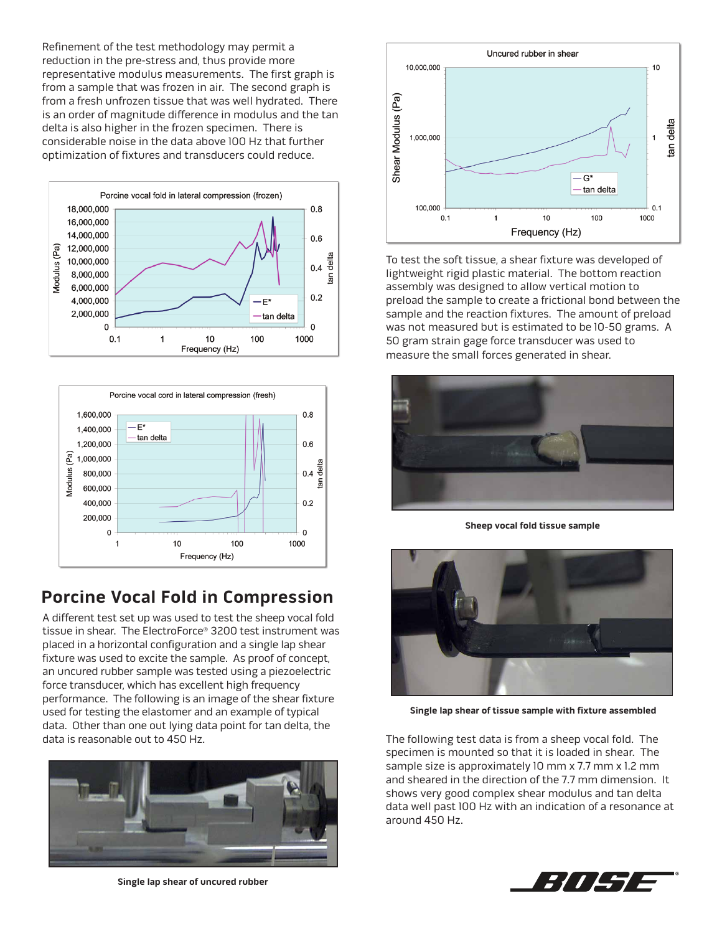Refinement of the test methodology may permit a reduction in the pre-stress and, thus provide more representative modulus measurements. The first graph is from a sample that was frozen in air. The second graph is from a fresh unfrozen tissue that was well hydrated. There is an order of magnitude difference in modulus and the tan delta is also higher in the frozen specimen. There is considerable noise in the data above 100 Hz that further optimization of fixtures and transducers could reduce.





#### **Porcine Vocal Fold in Compression**

A different test set up was used to test the sheep vocal fold tissue in shear. The ElectroForce® 3200 test instrument was placed in a horizontal configuration and a single lap shear fixture was used to excite the sample. As proof of concept, an uncured rubber sample was tested using a piezoelectric force transducer, which has excellent high frequency performance. The following is an image of the shear fixture used for testing the elastomer and an example of typical data. Other than one out lying data point for tan delta, the data is reasonable out to 450 Hz.



**Single lap shear of uncured rubber**



To test the soft tissue, a shear fixture was developed of lightweight rigid plastic material. The bottom reaction assembly was designed to allow vertical motion to preload the sample to create a frictional bond between the sample and the reaction fixtures. The amount of preload was not measured but is estimated to be 10-50 grams. A 50 gram strain gage force transducer was used to measure the small forces generated in shear.



**Sheep vocal fold tissue sample**



**Single lap shear of tissue sample with fixture assembled**

The following test data is from a sheep vocal fold. The specimen is mounted so that it is loaded in shear. The sample size is approximately 10 mm x 7.7 mm x 1.2 mm and sheared in the direction of the 7.7 mm dimension. It shows very good complex shear modulus and tan delta data well past 100 Hz with an indication of a resonance at around 450 Hz.